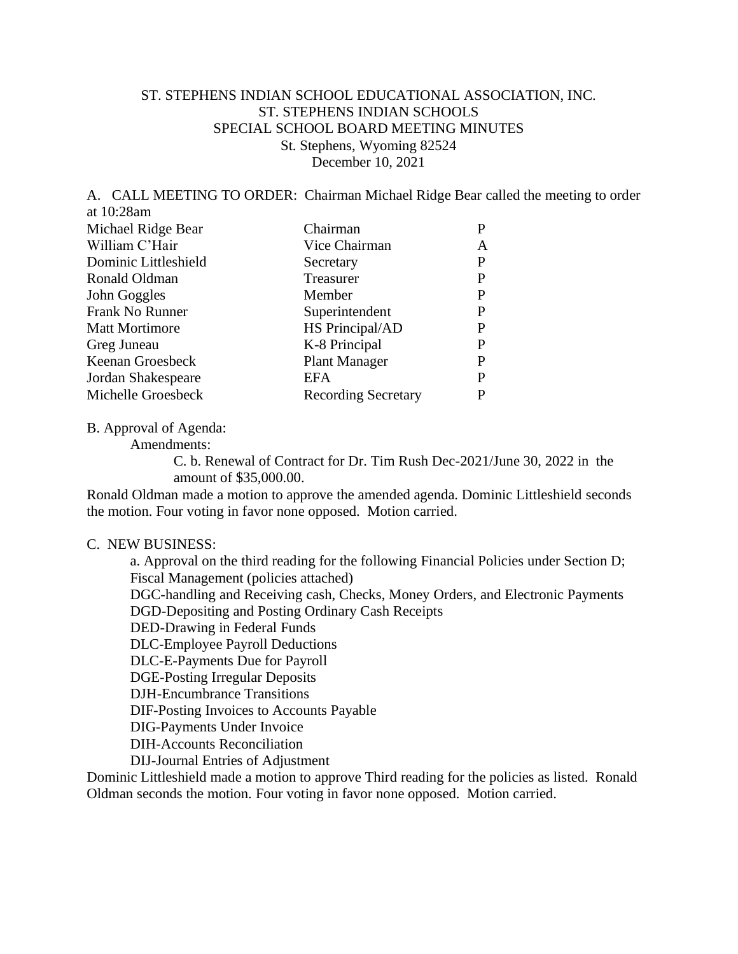## ST. STEPHENS INDIAN SCHOOL EDUCATIONAL ASSOCIATION, INC. ST. STEPHENS INDIAN SCHOOLS SPECIAL SCHOOL BOARD MEETING MINUTES St. Stephens, Wyoming 82524 December 10, 2021

A. CALL MEETING TO ORDER: Chairman Michael Ridge Bear called the meeting to order at 10:28am

| Michael Ridge Bear    | Chairman                   |   |
|-----------------------|----------------------------|---|
| William C'Hair        | Vice Chairman              | A |
| Dominic Littleshield  | Secretary                  | P |
| Ronald Oldman         | Treasurer                  | P |
| John Goggles          | Member                     | P |
| Frank No Runner       | Superintendent             | P |
| <b>Matt Mortimore</b> | HS Principal/AD            | P |
| Greg Juneau           | K-8 Principal              | P |
| Keenan Groesbeck      | <b>Plant Manager</b>       | P |
| Jordan Shakespeare    | EFA                        | P |
| Michelle Groesbeck    | <b>Recording Secretary</b> |   |

B. Approval of Agenda:

Amendments:

C. b. Renewal of Contract for Dr. Tim Rush Dec-2021/June 30, 2022 in the amount of \$35,000.00.

Ronald Oldman made a motion to approve the amended agenda. Dominic Littleshield seconds the motion. Four voting in favor none opposed. Motion carried.

## C. NEW BUSINESS:

a. Approval on the third reading for the following Financial Policies under Section D; Fiscal Management (policies attached) DGC-handling and Receiving cash, Checks, Money Orders, and Electronic Payments DGD-Depositing and Posting Ordinary Cash Receipts DED-Drawing in Federal Funds DLC-Employee Payroll Deductions DLC-E-Payments Due for Payroll DGE-Posting Irregular Deposits DJH-Encumbrance Transitions DIF-Posting Invoices to Accounts Payable DIG-Payments Under Invoice DIH-Accounts Reconciliation DIJ-Journal Entries of Adjustment

Dominic Littleshield made a motion to approve Third reading for the policies as listed. Ronald Oldman seconds the motion. Four voting in favor none opposed. Motion carried.